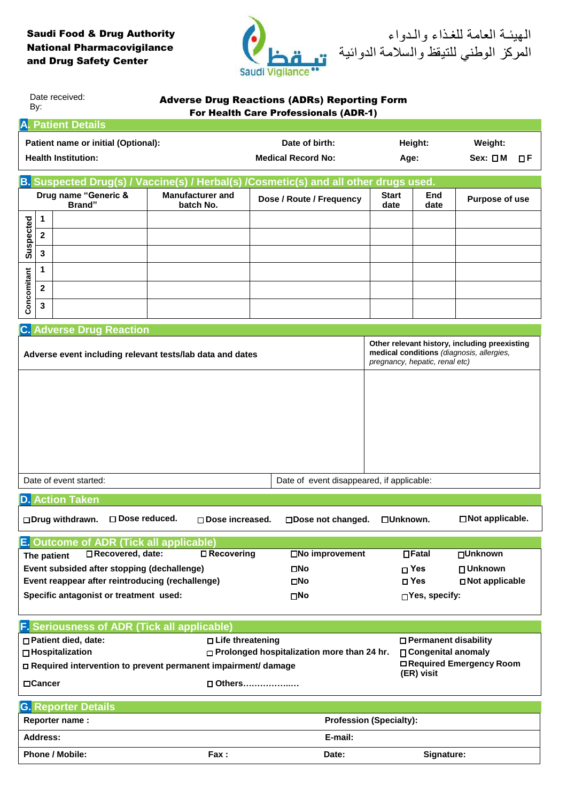## Saudi Food & Drug Authority National Pharmacovigilance and Drug Safety Center



الهيئـة العامة للغـذاء والـدواء المركز الوطني للتيقظ والسالمة الدوائية

| Date received:<br><b>Adverse Drug Reactions (ADRs) Reporting Form</b><br>By:<br><b>For Health Care Professionals (ADR-1)</b> |                                                                          |                         |                           |                                                                                                                              |            |                       |  |
|------------------------------------------------------------------------------------------------------------------------------|--------------------------------------------------------------------------|-------------------------|---------------------------|------------------------------------------------------------------------------------------------------------------------------|------------|-----------------------|--|
| <b>A. Patient Details</b>                                                                                                    |                                                                          |                         |                           |                                                                                                                              |            |                       |  |
|                                                                                                                              | Patient name or initial (Optional):                                      |                         | Date of birth:            | Height:                                                                                                                      |            | Weight:               |  |
| <b>Health Institution:</b>                                                                                                   |                                                                          |                         | <b>Medical Record No:</b> | Age:                                                                                                                         |            | $Sex: \Box M$<br>ΠF   |  |
|                                                                                                                              |                                                                          |                         |                           |                                                                                                                              |            |                       |  |
| B. Suspected Drug(s) / Vaccine(s) / Herbal(s) / Cosmetic(s) and all other drugs used.                                        |                                                                          |                         |                           |                                                                                                                              |            |                       |  |
|                                                                                                                              | Drug name "Generic &                                                     | <b>Manufacturer and</b> | Dose / Route / Frequency  | <b>Start</b>                                                                                                                 | End        | <b>Purpose of use</b> |  |
|                                                                                                                              | Brand"                                                                   | batch No.               |                           | date                                                                                                                         | date       |                       |  |
|                                                                                                                              | $\mathbf 1$                                                              |                         |                           |                                                                                                                              |            |                       |  |
|                                                                                                                              | $\overline{\mathbf{2}}$                                                  |                         |                           |                                                                                                                              |            |                       |  |
| Suspected                                                                                                                    | 3                                                                        |                         |                           |                                                                                                                              |            |                       |  |
|                                                                                                                              | 1                                                                        |                         |                           |                                                                                                                              |            |                       |  |
|                                                                                                                              |                                                                          |                         |                           |                                                                                                                              |            |                       |  |
|                                                                                                                              | $\mathbf{2}$                                                             |                         |                           |                                                                                                                              |            |                       |  |
| Concomitant                                                                                                                  | 3                                                                        |                         |                           |                                                                                                                              |            |                       |  |
|                                                                                                                              |                                                                          |                         |                           |                                                                                                                              |            |                       |  |
|                                                                                                                              | <b>C. Adverse Drug Reaction</b>                                          |                         |                           |                                                                                                                              |            |                       |  |
| Adverse event including relevant tests/lab data and dates                                                                    |                                                                          |                         |                           | Other relevant history, including preexisting<br>medical conditions (diagnosis, allergies,<br>pregnancy, hepatic, renal etc) |            |                       |  |
|                                                                                                                              |                                                                          |                         |                           |                                                                                                                              |            |                       |  |
|                                                                                                                              |                                                                          |                         |                           |                                                                                                                              |            |                       |  |
|                                                                                                                              |                                                                          |                         |                           |                                                                                                                              |            |                       |  |
|                                                                                                                              |                                                                          |                         |                           |                                                                                                                              |            |                       |  |
|                                                                                                                              |                                                                          |                         |                           |                                                                                                                              |            |                       |  |
|                                                                                                                              |                                                                          |                         |                           |                                                                                                                              |            |                       |  |
|                                                                                                                              |                                                                          |                         |                           |                                                                                                                              |            |                       |  |
|                                                                                                                              | Date of event started:<br>Date of event disappeared, if applicable:      |                         |                           |                                                                                                                              |            |                       |  |
|                                                                                                                              |                                                                          |                         |                           |                                                                                                                              |            |                       |  |
| <b>D. Action Taken</b>                                                                                                       |                                                                          |                         |                           |                                                                                                                              |            |                       |  |
| □Not applicable.<br>□ Dose reduced.<br>□ Drug withdrawn.<br>$\square$ Dose increased.<br>□Dose not changed.<br>□Unknown.     |                                                                          |                         |                           |                                                                                                                              |            |                       |  |
|                                                                                                                              | E. Outcome of ADR (Tick all applicable)                                  |                         |                           |                                                                                                                              |            |                       |  |
| □ Recovering<br>□Recovered, date:<br>□No improvement<br>$\Box$ Fatal<br>□Unknown<br>The patient                              |                                                                          |                         |                           |                                                                                                                              |            |                       |  |
|                                                                                                                              | Event subsided after stopping (dechallenge)                              |                         | $\square$ No              |                                                                                                                              | $\Box$ Yes | □ Unknown             |  |
| Event reappear after reintroducing (rechallenge)                                                                             |                                                                          |                         | ΠNο                       |                                                                                                                              | □ Yes      | □ Not applicable      |  |
|                                                                                                                              | Specific antagonist or treatment used:<br>∏Yes, specify:<br>$\square$ No |                         |                           |                                                                                                                              |            |                       |  |
|                                                                                                                              |                                                                          |                         |                           |                                                                                                                              |            |                       |  |
| <b>F.</b> Seriousness of ADR (Tick all applicable)                                                                           |                                                                          |                         |                           |                                                                                                                              |            |                       |  |
| □ Patient died, date:<br>□ Life threatening<br>□ Permanent disability                                                        |                                                                          |                         |                           |                                                                                                                              |            |                       |  |
| □ Hospitalization<br>□ Prolonged hospitalization more than 24 hr.<br>□ Congenital anomaly                                    |                                                                          |                         |                           |                                                                                                                              |            |                       |  |
| □ Required Emergency Room<br>□ Required intervention to prevent permanent impairment/ damage<br>(ER) visit                   |                                                                          |                         |                           |                                                                                                                              |            |                       |  |
|                                                                                                                              | □Cancer<br>□ Others                                                      |                         |                           |                                                                                                                              |            |                       |  |
|                                                                                                                              |                                                                          |                         |                           |                                                                                                                              |            |                       |  |
| <b>G. Reporter Details</b>                                                                                                   |                                                                          |                         |                           |                                                                                                                              |            |                       |  |
| Reporter name:<br><b>Profession (Specialty):</b>                                                                             |                                                                          |                         |                           |                                                                                                                              |            |                       |  |
| Address:                                                                                                                     |                                                                          | E-mail:                 |                           |                                                                                                                              |            |                       |  |
| Phone / Mobile:<br>Fax:                                                                                                      |                                                                          | Date:                   | Signature:                |                                                                                                                              |            |                       |  |